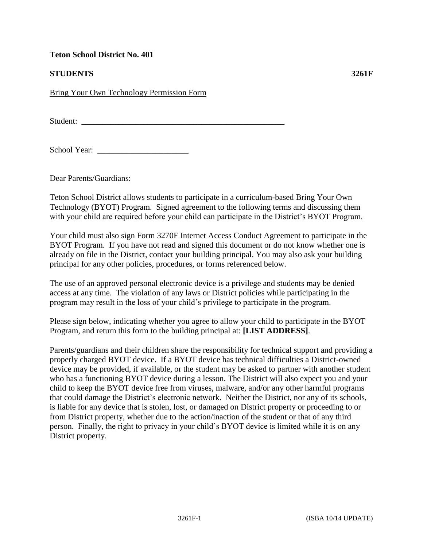### **Teton School District No. 401**

# **STUDENTS 3261F**

Bring Your Own Technology Permission Form

Student: \_\_\_\_\_\_\_\_\_\_\_\_\_\_\_\_\_\_\_\_\_\_\_\_\_\_\_\_\_\_\_\_\_\_\_\_\_\_\_\_\_\_\_\_\_\_\_\_\_

School Year: \_\_\_\_\_\_\_\_\_\_\_\_\_\_\_\_\_\_\_\_\_\_

Dear Parents/Guardians:

Teton School District allows students to participate in a curriculum-based Bring Your Own Technology (BYOT) Program. Signed agreement to the following terms and discussing them with your child are required before your child can participate in the District's BYOT Program.

Your child must also sign Form 3270F Internet Access Conduct Agreement to participate in the BYOT Program. If you have not read and signed this document or do not know whether one is already on file in the District, contact your building principal. You may also ask your building principal for any other policies, procedures, or forms referenced below.

The use of an approved personal electronic device is a privilege and students may be denied access at any time. The violation of any laws or District policies while participating in the program may result in the loss of your child's privilege to participate in the program.

Please sign below, indicating whether you agree to allow your child to participate in the BYOT Program, and return this form to the building principal at: **[LIST ADDRESS]**.

Parents/guardians and their children share the responsibility for technical support and providing a properly charged BYOT device. If a BYOT device has technical difficulties a District-owned device may be provided, if available, or the student may be asked to partner with another student who has a functioning BYOT device during a lesson. The District will also expect you and your child to keep the BYOT device free from viruses, malware, and/or any other harmful programs that could damage the District's electronic network. Neither the District, nor any of its schools, is liable for any device that is stolen, lost, or damaged on District property or proceeding to or from District property, whether due to the action/inaction of the student or that of any third person. Finally, the right to privacy in your child's BYOT device is limited while it is on any District property.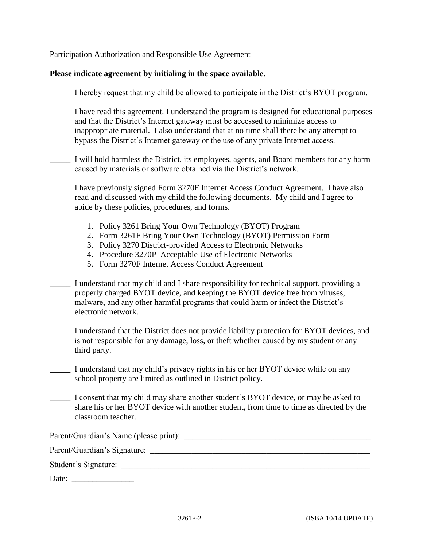#### Participation Authorization and Responsible Use Agreement

#### **Please indicate agreement by initialing in the space available.**

\_\_\_\_\_ I hereby request that my child be allowed to participate in the District's BYOT program.

- \_\_\_\_\_ I have read this agreement. I understand the program is designed for educational purposes and that the District's Internet gateway must be accessed to minimize access to inappropriate material. I also understand that at no time shall there be any attempt to bypass the District's Internet gateway or the use of any private Internet access.
- I will hold harmless the District, its employees, agents, and Board members for any harm caused by materials or software obtained via the District's network.
- \_\_\_\_\_ I have previously signed Form 3270F Internet Access Conduct Agreement. I have also read and discussed with my child the following documents. My child and I agree to abide by these policies, procedures, and forms.
	- 1. Policy 3261 Bring Your Own Technology (BYOT) Program
	- 2. Form 3261F Bring Your Own Technology (BYOT) Permission Form
	- 3. Policy 3270 District-provided Access to Electronic Networks
	- 4. Procedure 3270P Acceptable Use of Electronic Networks
	- 5. Form 3270F Internet Access Conduct Agreement

| I understand that my child and I share responsibility for technical support, providing a |
|------------------------------------------------------------------------------------------|
| properly charged BYOT device, and keeping the BYOT device free from viruses,             |
| malware, and any other harmful programs that could harm or infect the District's         |
| electronic network.                                                                      |

- I understand that the District does not provide liability protection for BYOT devices, and is not responsible for any damage, loss, or theft whether caused by my student or any third party.
- \_\_\_\_\_ I understand that my child's privacy rights in his or her BYOT device while on any school property are limited as outlined in District policy.
- \_\_\_\_\_ I consent that my child may share another student's BYOT device, or may be asked to share his or her BYOT device with another student, from time to time as directed by the classroom teacher.

| Parent/Guardian's Name (please print): |  |
|----------------------------------------|--|
| Parent/Guardian's Signature:           |  |
| Student's Signature:                   |  |
| Date:                                  |  |